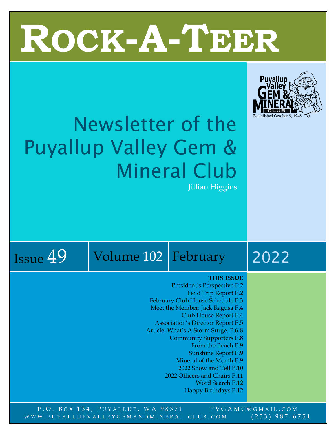# T **ROCK-A-TEER**



## Newsletter of the Puyallup Valley Gem & Mineral Club Jillian Higgins



## Issue  $49$  Volume 102 February 2022

#### **THIS ISSUE**

- President's Perspective P.2 Field Trip Report P.2 February Club House Schedule P.3 Meet the Member: Jack Ragusa P.4 Club House Report P.4 Association's Director Report P.5 Article: What's A Storm Surge. P.6-8 Community Supporters P.8 From the Bench P.9 Sunshine Report P.9 Mineral of the Month P.9 2022 Show and Tell P.10 2022 Officers and Chairs P.11 Word Search P.12 Happy Birthdays P.12
- P.O. BOX 134, PUYALLUP, WA 98371 PVGAMC@GMAIL.COM WWW.PUYALLUPVALLEYGEMANDMINERAL CLUB.COM (253) 987-6751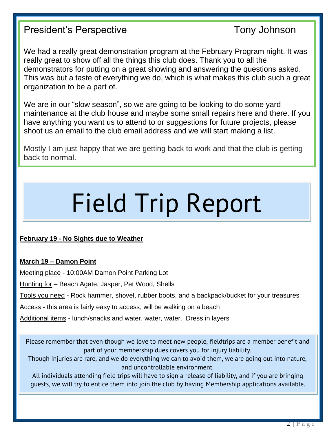## President's Perspective Tony Johnson

We had a really great demonstration program at the February Program night. It was really great to show off all the things this club does. Thank you to all the demonstrators for putting on a great showing and answering the questions asked. This was but a taste of everything we do, which is what makes this club such a great organization to be a part of.

We are in our "slow season", so we are going to be looking to do some yard maintenance at the club house and maybe some small repairs here and there. If you have anything you want us to attend to or suggestions for future projects, please shoot us an email to the club email address and we will start making a list.

Mostly I am just happy that we are getting back to work and that the club is getting back to normal.

## Field Trip Report

#### **February 19 - No Sights due to Weather**

#### **March 19 – Damon Point**

Meeting place - 10:00AM Damon Point Parking Lot

Hunting for – Beach Agate, Jasper, Pet Wood, Shells

Tools you need - Rock hammer, shovel, rubber boots, and a backpack/bucket for your treasures

Access - this area is fairly easy to access, will be walking on a beach

Additional items - lunch/snacks and water, water, water. Dress in layers

Please remember that even though we love to meet new people, fieldtrips are a member benefit and part of your membership dues covers you for injury liability.

Though injuries are rare, and we do everything we can to avoid them, we are going out into nature, and uncontrollable environment.

All individuals attending field trips will have to sign a release of liability, and if you are bringing guests, we will try to entice them into join the club by having Membership applications available.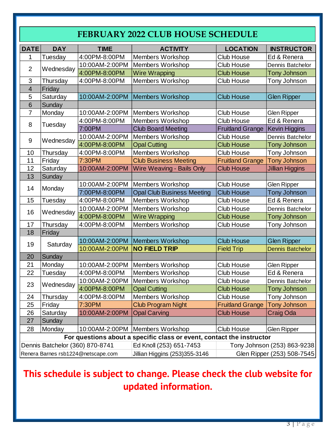## **FEBRUARY 2022 CLUB HOUSE SCHEDULE**

| <b>DATE</b>                                                           | <b>DAY</b>                      | <b>TIME</b>                        | <b>ACTIVITY</b>                                             | <b>LOCATION</b>         | <b>INSTRUCTOR</b>           |  |  |  |  |  |
|-----------------------------------------------------------------------|---------------------------------|------------------------------------|-------------------------------------------------------------|-------------------------|-----------------------------|--|--|--|--|--|
| 1                                                                     | Tuesday                         | 4:00PM-8:00PM                      | <b>Members Workshop</b>                                     | Ed & Renera             |                             |  |  |  |  |  |
| $\overline{2}$                                                        |                                 | 10:00AM-2:00PM                     | <b>Members Workshop</b>                                     | <b>Club House</b>       | Dennis Batchelor            |  |  |  |  |  |
|                                                                       | Wednesday                       | 4:00PM-8:00PM                      | <b>Wire Wrapping</b>                                        | <b>Club House</b>       | <b>Tony Johnson</b>         |  |  |  |  |  |
| 3                                                                     | Thursday                        | 4:00PM-8:00PM                      | Members Workshop                                            | <b>Club House</b>       | Tony Johnson                |  |  |  |  |  |
| $\overline{4}$                                                        | Friday                          |                                    |                                                             |                         |                             |  |  |  |  |  |
| 5                                                                     | Saturday                        | 10:00AM-2:00PM                     | <b>Members Workshop</b>                                     | <b>Glen Ripper</b>      |                             |  |  |  |  |  |
| 6                                                                     | Sunday                          |                                    |                                                             |                         |                             |  |  |  |  |  |
| $\overline{7}$                                                        | Monday                          | 10:00AM-2:00PM                     | <b>Members Workshop</b>                                     | <b>Glen Ripper</b>      |                             |  |  |  |  |  |
| 8                                                                     | Tuesday                         | 4:00PM-8:00PM                      | Members Workshop                                            | Club House              | Ed & Renera                 |  |  |  |  |  |
|                                                                       |                                 | 7:00PM                             | <b>Club Board Meeting</b>                                   | <b>Fruitland Grange</b> | Kevin Higgins               |  |  |  |  |  |
| 9                                                                     | Wednesday                       | 10:00AM-2:00PM                     | <b>Members Workshop</b>                                     | <b>Club House</b>       | Dennis Batchelor            |  |  |  |  |  |
|                                                                       |                                 | 4:00PM-8:00PM                      | <b>Opal Cutting</b>                                         | <b>Club House</b>       | <b>Tony Johnson</b>         |  |  |  |  |  |
| 10                                                                    | Thursday                        | 4:00PM-8:00PM                      | Members Workshop                                            | Club House              | Tony Johnson                |  |  |  |  |  |
| 11                                                                    | Friday                          | 7:30PM                             | <b>Club Business Meeting</b>                                | <b>Fruitland Grange</b> | <b>Tony Johnson</b>         |  |  |  |  |  |
| 12                                                                    | Saturday                        | 10:00AM-2:00PM                     | Wire Weaving - Bails Only                                   | <b>Club House</b>       | <b>Jillian Higgins</b>      |  |  |  |  |  |
| 13                                                                    | Sunday                          |                                    |                                                             |                         |                             |  |  |  |  |  |
| 14                                                                    | Monday                          | 10:00AM-2:00PM                     | Members Workshop                                            | <b>Club House</b>       | Glen Ripper                 |  |  |  |  |  |
|                                                                       |                                 | 7:00PM-8:00PM                      | <b>Opal Club Business Meeting</b>                           | <b>Club House</b>       | <b>Tony Johnson</b>         |  |  |  |  |  |
| 15                                                                    | Tuesday                         | 4:00PM-8:00PM                      | Members Workshop                                            | Club House              | Ed & Renera                 |  |  |  |  |  |
| 16                                                                    | Wednesday                       | 10:00AM-2:00PM                     | <b>Members Workshop</b>                                     | Club House              | Dennis Batchelor            |  |  |  |  |  |
|                                                                       |                                 | 4:00PM-8:00PM                      | <b>Wire Wrapping</b>                                        | <b>Club House</b>       | <b>Tony Johnson</b>         |  |  |  |  |  |
| 17                                                                    | Thursday                        | 4:00PM-8:00PM                      | <b>Members Workshop</b>                                     | <b>Club House</b>       | Tony Johnson                |  |  |  |  |  |
| 18                                                                    | Friday                          |                                    |                                                             |                         |                             |  |  |  |  |  |
| 19                                                                    |                                 | 10:00AM-2:00PM                     | <b>Members Workshop</b>                                     | <b>Club House</b>       | <b>Glen Ripper</b>          |  |  |  |  |  |
|                                                                       | Saturday                        | 10:00AM-2:00PM                     | <b>NO FIELD TRIP</b>                                        | <b>Field Trip</b>       | <b>Dennis Batchelor</b>     |  |  |  |  |  |
| 20                                                                    | Sunday                          |                                    |                                                             |                         |                             |  |  |  |  |  |
| 21                                                                    | Monday                          | 10:00AM-2:00PM                     | <b>Members Workshop</b>                                     | <b>Club House</b>       | <b>Glen Ripper</b>          |  |  |  |  |  |
| 22                                                                    | Tuesday                         | 4:00PM-8:00PM                      | <b>Members Workshop</b>                                     | Club House              | Ed & Renera                 |  |  |  |  |  |
|                                                                       |                                 | 10:00AM-2:00PM                     | <b>Members Workshop</b>                                     | <b>Club House</b>       | Dennis Batchelor            |  |  |  |  |  |
| 23                                                                    | Wednesday                       | 4:00PM-8:00PM                      | <b>Opal Cutting</b>                                         | <b>Club House</b>       | Tony Johnson                |  |  |  |  |  |
| 24                                                                    | Thursday                        | 4:00PM-8:00PM                      | Members Workshop                                            | Club House              | Tony Johnson                |  |  |  |  |  |
| 25                                                                    | Friday                          | 7:30PM                             | <b>Club Program Night</b>                                   | <b>Fruitland Grange</b> | <b>Tony Johnson</b>         |  |  |  |  |  |
| 26                                                                    | Saturday                        | 10:00AM-2:00PM                     | <b>Opal Carving</b>                                         | <b>Club House</b>       | Craig Oda                   |  |  |  |  |  |
| 27                                                                    | Sunday                          |                                    |                                                             |                         |                             |  |  |  |  |  |
| 28                                                                    | Monday                          | 10:00AM-2:00PM                     | Members Workshop                                            | Club House              | <b>Glen Ripper</b>          |  |  |  |  |  |
| For questions about a specific class or event, contact the instructor |                                 |                                    |                                                             |                         |                             |  |  |  |  |  |
|                                                                       | Dennis Batchelor (360) 870-8741 |                                    | Ed Knoll (253) 651-7453                                     |                         | Tony Johnson (253) 863-9238 |  |  |  |  |  |
|                                                                       |                                 | Renera Barnes rsb1224@netscape.com | Jillian Higgins (253)355-3146<br>Glen Ripper (253) 508-7545 |                         |                             |  |  |  |  |  |

## **This schedule is subject to change. Please check the club website for updated information.**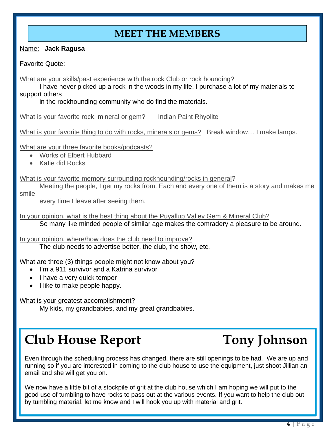## **MEET THE MEMBERS**

Name: **Jack Ragusa**

Favorite Quote:

What are your skills/past experience with the rock Club or rock hounding?

I have never picked up a rock in the woods in my life. I purchase a lot of my materials to support others

in the rockhounding community who do find the materials.

What is your favorite rock, mineral or gem? Indian Paint Rhyolite

What is your favorite thing to do with rocks, minerals or gems? Break window... I make lamps.

What are your three favorite books/podcasts?

- Works of Elbert Hubbard
- Katie did Rocks

What is your favorite memory surrounding rockhounding/rocks in general?

Meeting the people, I get my rocks from. Each and every one of them is a story and makes me smile

every time I leave after seeing them.

In your opinion, what is the best thing about the Puyallup Valley Gem & Mineral Club? So many like minded people of similar age makes the comradery a pleasure to be around.

In your opinion, where/how does the club need to improve? The club needs to advertise better, the club, the show, etc.

What are three (3) things people might not know about you?

- I'm a 911 survivor and a Katrina survivor
- I have a very quick temper
- I like to make people happy.

What is your greatest accomplishment?

My kids, my grandbabies, and my great grandbabies.

## **Club House Report Tony Johnson**

Even through the scheduling process has changed, there are still openings to be had. We are up and running so if you are interested in coming to the club house to use the equipment, just shoot Jillian an email and she will get you on.

We now have a little bit of a stockpile of grit at the club house which I am hoping we will put to the good use of tumbling to have rocks to pass out at the various events. If you want to help the club out by tumbling material, let me know and I will hook you up with material and grit.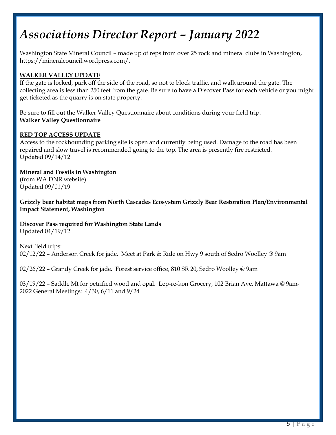## *Associations Director Report – January 2022*

Washington State Mineral Council – made up of reps from over 25 rock and mineral clubs in Washington, https://mineralcouncil.wordpress.com/.

#### **WALKER VALLEY UPDATE**

If the gate is locked, park off the side of the road, so not to block traffic, and walk around the gate. The collecting area is less than 250 feet from the gate. Be sure to have a Discover Pass for each vehicle or you might get ticketed as the quarry is on state property.

Be sure to fill out the Walker Valley Questionnaire about conditions during your field trip. **[Walker Valley Questionnaire](https://mineralcouncil.files.wordpress.com/2018/04/wv_form.pdf)**

#### **RED TOP ACCESS UPDATE**

Access to the rockhounding parking site is open and currently being used. Damage to the road has been repaired and slow travel is recommended going to the top. The area is presently fire restricted. Updated 09/14/12

**[Mineral and Fossils in Washington](https://wadnr.maps.arcgis.com/apps/MapJournal/index.html?appid=6a6819c35f1e4bd69a30f0da3b0473cc)** (from WA DNR website) Updated 09/01/19

**[Grizzly bear habitat maps from North Cascades Ecosystem Grizzly Bear Restoration Plan/Environmental](https://mineralcouncil.files.wordpress.com/2019/09/grizzlymaps.pdf)  [Impact Statement, Washington](https://mineralcouncil.files.wordpress.com/2019/09/grizzlymaps.pdf)**

**[Discover Pass required for Washington State Lands](https://mineralcouncil.files.wordpress.com/2018/04/discoverpass.pdf)**

Updated 04/19/12

Next field trips: 02/12/22 – Anderson Creek for jade. Meet at Park & Ride on Hwy 9 south of Sedro Woolley @ 9am

02/26/22 – Grandy Creek for jade. Forest service office, 810 SR 20, Sedro Woolley @ 9am

03/19/22 – Saddle Mt for petrified wood and opal. Lep-re-kon Grocery, 102 Brian Ave, Mattawa @ 9am-2022 General Meetings: 4/30, 6/11 and 9/24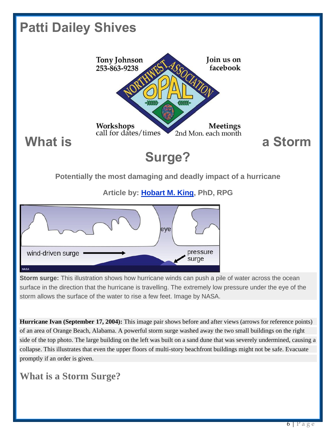

**Hurricane Ivan (September 17, 2004):** This image pair shows before and after views (arrows for reference points) of an area of Orange Beach, Alabama. A powerful storm surge washed away the two small buildings on the right side of the top photo. The large building on the left was built on a sand dune that was severely undermined, causing a collapse. This illustrates that even the upper floors of multi-story beachfront buildings might not be safe. Evacuate promptly if an order is given.

## **What is a Storm Surge?**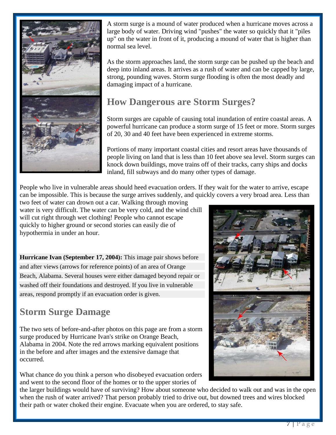

A storm surge is a mound of water produced when a hurricane moves across a large body of water. Driving wind "pushes" the water so quickly that it "piles up" on the water in front of it, producing a mound of water that is higher than normal sea level.

As the storm approaches land, the storm surge can be pushed up the beach and deep into inland areas. It arrives as a rush of water and can be capped by large, strong, pounding waves. Storm surge flooding is often the most deadly and damaging impact of a hurricane.

## **How Dangerous are Storm Surges?**

Storm surges are capable of causing total inundation of entire coastal areas. A powerful hurricane can produce a storm surge of 15 feet or more. Storm surges of 20, 30 and 40 feet have been experienced in extreme storms.

Portions of many important coastal cities and resort areas have thousands of people living on land that is less than 10 feet above sea level. Storm surges can knock down buildings, move trains off of their tracks, carry ships and docks inland, fill subways and do many other types of damage.

People who live in vulnerable areas should heed evacuation orders. If they wait for the water to arrive, escape can be impossible. This is because the surge arrives suddenly, and quickly covers a very broad area. Less than

two feet of water can drown out a car. Walking through moving water is very difficult. The water can be very cold, and the wind chill will cut right through wet clothing! People who cannot escape quickly to higher ground or second stories can easily die of hypothermia in under an hour.

**Hurricane Ivan (September 17, 2004):** This image pair shows before and after views (arrows for reference points) of an area of Orange Beach, Alabama. Several houses were either damaged beyond repair or washed off their foundations and destroyed. If you live in vulnerable areas, respond promptly if an evacuation order is given.

## **Storm Surge Damage**

The two sets of before-and-after photos on this page are from a storm surge produced by Hurricane Ivan's strike on Orange Beach, Alabama in 2004. Note the red arrows marking equivalent positions in the before and after images and the extensive damage that occurred.

What chance do you think a person who disobeyed evacuation orders and went to the second floor of the homes or to the upper stories of



the larger buildings would have of surviving? How about someone who decided to walk out and was in the open when the rush of water arrived? That person probably tried to drive out, but downed trees and wires blocked their path or water choked their engine. Evacuate when you are ordered, to stay safe.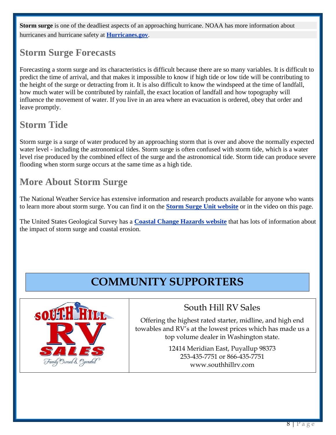**Storm surge** is one of the deadliest aspects of an approaching hurricane. NOAA has more information about hurricanes and hurricane safety at **[Hurricanes.gov](http://www.nhc.noaa.gov/)**.

## **Storm Surge Forecasts**

Forecasting a storm surge and its characteristics is difficult because there are so many variables. It is difficult to predict the time of arrival, and that makes it impossible to know if high tide or low tide will be contributing to the height of the surge or detracting from it. It is also difficult to know the windspeed at the time of landfall, how much water will be contributed by rainfall, the exact location of landfall and how topography will influence the movement of water. If you live in an area where an evacuation is ordered, obey that order and leave promptly.

## **Storm Tide**

Storm surge is a surge of water produced by an approaching storm that is over and above the normally expected water level - including the astronomical tides. Storm surge is often confused with storm tide, which is a water level rise produced by the combined effect of the surge and the astronomical tide. Storm tide can produce severe flooding when storm surge occurs at the same time as a high tide.

## **More About Storm Surge**

The National Weather Service has extensive information and research products available for anyone who wants to learn more about storm surge. You can find it on the **[Storm Surge Unit website](http://www.nhc.noaa.gov/ssurge/ssurge.shtml)** or in the video on this page.

The United States Geological Survey has a **[Coastal Change Hazards website](http://coastal.er.usgs.gov/hurricanes/)** that has lots of information about the impact of storm surge and coastal erosion.

## **COMMUNITY SUPPORTERS**



## South Hill RV Sales

Offering the highest rated starter, midline, and high end towables and RV's at the lowest prices which has made us a top volume dealer in Washington state.

> 12414 Meridian East, Puyallup 98373 253-435-7751 or 866-435-7751 www.southhillrv.com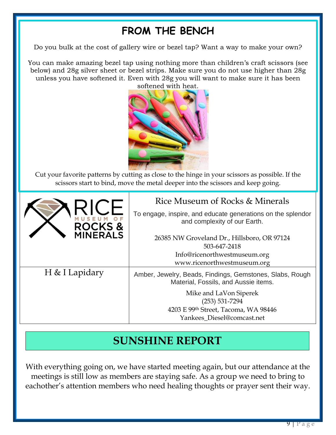## **FROM THE BENCH**

Do you bulk at the cost of gallery wire or bezel tap? Want a way to make your own?

You can make amazing bezel tap using nothing more than children's craft scissors (see below) and 28g silver sheet or bezel strips. Make sure you do not use higher than 28g unless you have softened it. Even with 28g you will want to make sure it has been softened with heat.



Cut your favorite patterns by cutting as close to the hinge in your scissors as possible. If the scissors start to bind, move the metal deeper into the scissors and keep going.

| <b>ROCKS&amp;</b> | Rice Museum of Rocks & Minerals<br>To engage, inspire, and educate generations on the splendor<br>and complexity of our Earth. |
|-------------------|--------------------------------------------------------------------------------------------------------------------------------|
| <b>MINERALS</b>   | 26385 NW Groveland Dr., Hillsboro, OR 97124<br>503-647-2418<br>Info@ricenorthwestmuseum.org<br>www.ricenorthwestmuseum.org     |
| H & I Lapidary    | Amber, Jewelry, Beads, Findings, Gemstones, Slabs, Rough<br>Material, Fossils, and Aussie items.                               |
|                   | Mike and LaVon Siperek<br>$(253) 531 - 7294$<br>4203 E 99th Street, Tacoma, WA 98446<br>Yankees Diesel@comcast.net             |

## **SUNSHINE REPORT**

With everything going on, we have started meeting again, but our attendance at the meetings is still low as members are staying safe. As a group we need to bring to eachother's attention members who need healing thoughts or prayer sent their way.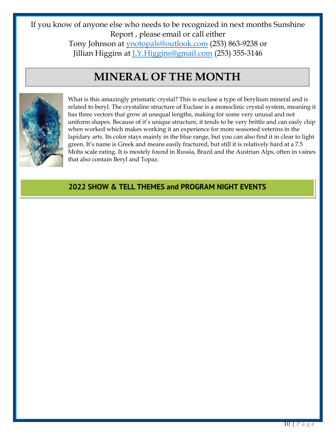If you know of anyone else who needs to be recognized in next months Sunshine Report , please email or call either Tony Johnson at [ynotopals@outlook.com](mailto:ynotopals@outlook.com) (253) 863-9238 or

Jillian Higgins at [J.Y.Higgins@gmail.com](mailto:J.Y.Higgins@gmail.com) (253) 355-3146

## **MINERAL OF THE MONTH**



What is this amazingly prismatic crystal? This is euclase a type of berylium mineral and is related to beryl. The crystaline structure of Euclase is a monoclinic crystal system, meaning it has three vectors that grow at unequal lengths, making for some very unusal and not uniform shapes. Because of it's unique structure, it tends to be very brittle and can easly chip when worked which makes working it an experience for more seasoned veterins in the lapidary arts. Its color stays mainly in the blue range, but you can also find it in clear to light green. It's name is Greek and means easily fractured, but still it is relatively hard at a 7.5 Mohs scale rating. It is mostely found in Russia, Brazil and the Austrian Alps, often in vaines that also contain Beryl and Topaz.

#### **2022 SHOW & TELL THEMES and PROGRAM NIGHT EVENTS**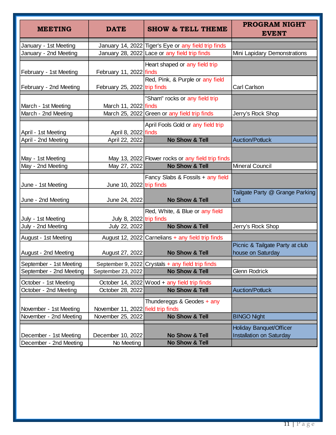| <b>MEETING</b>                                 | <b>DATE</b>                        | <b>SHOW &amp; TELL THEME</b>                                                   | <b>PROGRAM NIGHT</b><br><b>EVENT</b>                 |  |  |  |  |  |
|------------------------------------------------|------------------------------------|--------------------------------------------------------------------------------|------------------------------------------------------|--|--|--|--|--|
| January - 1st Meeting                          |                                    | January 14, 2022 Tiger's Eye or any field trip finds                           |                                                      |  |  |  |  |  |
| January - 2nd Meeting                          |                                    | January 28, 2022 Lace or any field trip finds                                  | Mini Lapidary Demonstrations                         |  |  |  |  |  |
| February - 1st Meeting                         | February 11, 2022 finds            | Heart shaped or any field trip<br>Red, Pink, & Purple or any field             |                                                      |  |  |  |  |  |
| February - 2nd Meeting                         | February 25, 2022 trip finds       |                                                                                | Carl Carlson                                         |  |  |  |  |  |
| March - 1st Meeting<br>March - 2nd Meeting     | March 11, 2022 finds               | "Sham" rocks or any field trip<br>March 25, 2022 Green or any field trip finds |                                                      |  |  |  |  |  |
|                                                |                                    |                                                                                | Jerry's Rock Shop                                    |  |  |  |  |  |
| April - 1st Meeting                            | April 8, 2022 finds                | April Fools Gold or any field trip                                             |                                                      |  |  |  |  |  |
| April - 2nd Meeting                            | April 22, 2022                     | No Show & Tell                                                                 | <b>Auction/Potluck</b>                               |  |  |  |  |  |
| May - 1st Meeting                              |                                    | May 13, 2022 Flower rocks or any field trip finds                              |                                                      |  |  |  |  |  |
| May - 2nd Meeting                              | May 27, 2022                       | No Show & Tell                                                                 | <b>Mineral Council</b>                               |  |  |  |  |  |
| June - 1st Meeting                             | June 10, $2022$ trip finds         | Fancy Slabs & Fossils + any field                                              |                                                      |  |  |  |  |  |
| June - 2nd Meeting                             | June 24, 2022                      | No Show & Tell                                                                 | Tailgate Party @ Grange Parking<br>Lot               |  |  |  |  |  |
| July - 1st Meeting                             | July 8, 2022 trip finds            | Red, White, & Blue or any field                                                |                                                      |  |  |  |  |  |
| July - 2nd Meeting                             | July 22, 2022                      | No Show & Tell                                                                 | Jerry's Rock Shop                                    |  |  |  |  |  |
| August - 1st Meeting                           |                                    | August 12, 2022 Carnelians + any field trip finds                              |                                                      |  |  |  |  |  |
| August - 2nd Meeting                           | August 27, 2022                    | <b>No Show &amp; Tell</b>                                                      | Picnic & Tailgate Party at club<br>house on Saturday |  |  |  |  |  |
| September - 1st Meeting                        |                                    | September 9, 2022 Crystals $+$ any field trip finds                            |                                                      |  |  |  |  |  |
| September - 2nd Meeting                        | September 23, 2022                 | No Show & Tell                                                                 | Glenn Rodrick                                        |  |  |  |  |  |
| October - 1st Meeting<br>October - 2nd Meeting | October 28, 2022                   | October 14, 2022 Wood $+$ any field trip finds<br><b>No Show &amp; Tell</b>    | <b>Auction/Potluck</b>                               |  |  |  |  |  |
| November - 1st Meeting                         | November 11, 2022 field trip finds | Thundereggs & Geodes + any                                                     |                                                      |  |  |  |  |  |
| November - 2nd Meeting                         | November 25, 2022                  | <b>No Show &amp; Tell</b>                                                      | <b>BINGO Night</b>                                   |  |  |  |  |  |
| December - 1st Meeting                         | December 10, 2022                  | <b>No Show &amp; Tell</b><br><b>No Show &amp; Tell</b>                         | Holiday Banquet/Officer<br>Installation on Saturday  |  |  |  |  |  |
| December - 2nd Meeting                         | No Meeting                         |                                                                                |                                                      |  |  |  |  |  |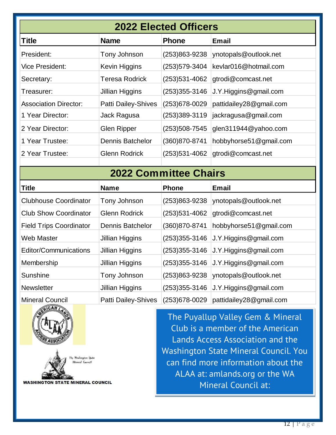| <b>2022 Elected Officers</b>   |                            |                   |                         |  |  |  |  |  |  |  |  |
|--------------------------------|----------------------------|-------------------|-------------------------|--|--|--|--|--|--|--|--|
| <b>Title</b>                   | <b>Name</b>                | <b>Phone</b>      | <b>Email</b>            |  |  |  |  |  |  |  |  |
| President:                     | Tony Johnson               | (253)863-9238     | ynotopals@outlook.net   |  |  |  |  |  |  |  |  |
| <b>Vice President:</b>         | Kevin Higgins              | (253) 579-3404    | kevlar016@hotmail.com   |  |  |  |  |  |  |  |  |
| Secretary:                     | <b>Teresa Rodrick</b>      | $(253)531 - 4062$ | gtrodi@comcast.net      |  |  |  |  |  |  |  |  |
| Treasurer:                     | <b>Jillian Higgins</b>     | $(253)355 - 3146$ | J.Y.Higgins@gmail.com   |  |  |  |  |  |  |  |  |
| <b>Association Director:</b>   | <b>Patti Dailey-Shives</b> | (253) 678-0029    | pattidailey28@gmail.com |  |  |  |  |  |  |  |  |
| 1 Year Director:               | Jack Ragusa                | $(253)389-3119$   | jackragusa@gmail.com    |  |  |  |  |  |  |  |  |
| 2 Year Director:               | <b>Glen Ripper</b>         | (253) 508-7545    | glen311944@yahoo.com    |  |  |  |  |  |  |  |  |
| 1 Year Trustee:                | <b>Dennis Batchelor</b>    | (360)870-8741     | hobbyhorse51@gmail.com  |  |  |  |  |  |  |  |  |
| 2 Year Trustee:                | <b>Glenn Rodrick</b>       | $(253)531 - 4062$ | gtrodi@comcast.net      |  |  |  |  |  |  |  |  |
|                                |                            |                   |                         |  |  |  |  |  |  |  |  |
| <b>2022 Committee Chairs</b>   |                            |                   |                         |  |  |  |  |  |  |  |  |
| <b>Title</b>                   | <b>Name</b>                | <b>Phone</b>      | <b>Email</b>            |  |  |  |  |  |  |  |  |
| <b>Clubhouse Coordinator</b>   | Tony Johnson               | $(253)863 - 9238$ | ynotopals@outlook.net   |  |  |  |  |  |  |  |  |
| <b>Club Show Coordinator</b>   | <b>Glenn Rodrick</b>       | $(253)531 - 4062$ | gtrodi@comcast.net      |  |  |  |  |  |  |  |  |
| <b>Field Trips Coordinator</b> | <b>Dennis Batchelor</b>    | (360)870-8741     | hobbyhorse51@gmail.com  |  |  |  |  |  |  |  |  |
| <b>Web Master</b>              | <b>Jillian Higgins</b>     | $(253)355 - 3146$ | J.Y.Higgins@gmail.com   |  |  |  |  |  |  |  |  |
| <b>Editor/Communications</b>   | <b>Jillian Higgins</b>     | $(253)355 - 3146$ | J.Y.Higgins@gmail.com   |  |  |  |  |  |  |  |  |
| Membership                     | Jillian Higgins            | $(253)355 - 3146$ | J.Y.Higgins@gmail.com   |  |  |  |  |  |  |  |  |
| Sunshine                       | Tony Johnson               | (253)863-9238     | ynotopals@outlook.net   |  |  |  |  |  |  |  |  |
| Newsletter                     | Jillian Higgins            | $(253)355 - 3146$ | J.Y.Higgins@gmail.com   |  |  |  |  |  |  |  |  |
| <b>Mineral Council</b>         | <b>Patti Dailey-Shives</b> | (253) 678-0029    | pattidailey28@gmail.com |  |  |  |  |  |  |  |  |

j



le Kadington Statu Mineral Cosmol

**WASHINGTON STATE MINERAL COUNCIL** 

The Puyallup Valley Gem & Mineral Club is a member of the American Lands Access Association and the Washington State Mineral Council. You can find more information about the ALAA at: amlands.org or the WA Mineral Council at:

mineralcouncil@zoho.com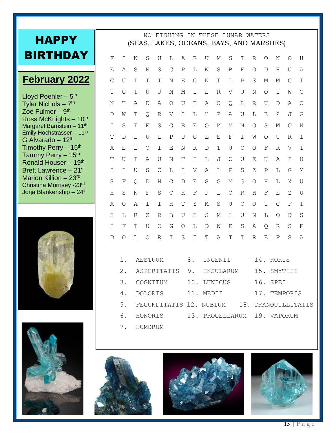| <b>HAPPY</b>                                                     |              |             |                                     | NO.        |              | FISHING       |               |             | IN THESE LUNAR WATERS   |                                         |           |               |                |                | (SEAS, LAKES, OCEANS, BAYS, AND MARSHES) |             |                     |
|------------------------------------------------------------------|--------------|-------------|-------------------------------------|------------|--------------|---------------|---------------|-------------|-------------------------|-----------------------------------------|-----------|---------------|----------------|----------------|------------------------------------------|-------------|---------------------|
| <b>BIRTHDAY</b>                                                  | F            | Ι           | Ν                                   | S          | U            | L             | Α             | R           | U                       | М                                       | S         | I             | $\mathbb{R}$   | $\circ$        | Ν                                        | Ο           | H                   |
|                                                                  | Ε            | A           | S                                   | N          | S            | $\mathcal{C}$ | $\mathbf P$   | L           | W                       | $\rm S$                                 | B         | $\mathbf F$   | $\circ$        | $\mathbb D$    | H                                        | U           | Α                   |
| <b>February 2022</b>                                             | $\mathsf{C}$ | U           | I                                   | I          | I            | N             | Е             | G           | N                       | Ι                                       | L         | Ρ             | S              | М              | М                                        | G           | I                   |
| Lloyd Poehler - 5 <sup>th</sup>                                  | U            | G           | Τ                                   | U          | J            | М             | М             | Ι           | E                       | R                                       | V         | U             | N              | $\circ$        | Ι                                        | W           | $\mathcal{C}$       |
| Tyler Nichols $-7$ <sup>th</sup>                                 | Ν            | Τ           | Α                                   | D          | Α            | $\circ$       | U             | Ε           | Α                       | $\circ$                                 | Q         | L             | R              | U              | D                                        | Α           | O                   |
| Zoe Fulmer $-9th$                                                | D            | W           | Τ                                   | Q          | R            | V             | I             | L           | Η                       | $\, {\bf P}$                            | Α         | U             | L              | Е              | Ζ                                        | J           | G                   |
| Ross McKnights $-10th$<br>Margaret Barnstein - 11 <sup>th</sup>  | I            | S           | I                                   | Ε          | S            | $\circ$       | B             | Ε           | $\circ$                 | М                                       | М         | N             | Q              | S              | М                                        | Ο           | N                   |
| Emily Hochstrasser - 11th<br>G Alvarado - $12th$                 | Τ            | D           | T.                                  | U          | Т.           | Ρ             | U             | G           | L                       | Ε                                       | F         | Ι             | W              | $\circ$        | U                                        | R           | Ι                   |
| Timothy Perry - 15th                                             | А            | E           | L                                   | $\circ$    | I            | Ε             | Ν             | R           | $\mathbb D$             | Τ                                       | U         | $\mathcal{C}$ | $\bigcirc$     | $_{\rm F}$     | $\mathbb{R}$                             | V           | T                   |
| Tammy Perry - 15 <sup>th</sup>                                   | Τ            | U           | I                                   | Α          | U            | N             | Т             | I           | L                       | J                                       | $\circ$   | U             | Ε              | U              | Α                                        | Ι           | U                   |
| Ronald Houser - 19th<br>Brett Lawrence - 21st                    | T.           | I           | U                                   | S          | $\mathsf{C}$ | L             | $\mathbf I$   | V           | Α                       | L                                       | Ρ         | $\rm S$       | Ζ              | Ρ              | L                                        | G           | М                   |
| Marion Killion $-23$ <sup>rd</sup>                               | S            | $\mathbf F$ | Q                                   | D          | Η            | $\circ$       | D             | Ε           | $\rm S$                 | G                                       | М         | G             | $\bigcirc$     | Η              | L                                        | Χ           | U                   |
| Christina Morrisey -23rd<br>Jorja Blankenship - 24 <sup>th</sup> | Н            | S           | Ν                                   | F          | S            | $\mathsf{C}$  | Η             | F           | Ρ                       | L                                       | $\circ$   | R             | Η              | F              | Ε                                        | Ζ           | U                   |
|                                                                  | Α            | $\circ$     | Α                                   | Ι          | I            | H             | $\mathbf T$   | Υ           | М                       | $\rm S$                                 | U         | $\mathcal{C}$ | $\circ$        | I              | $\mathcal{C}$                            | $\mathbf P$ | $\mathbf T$         |
|                                                                  | S            | L           | R                                   | Ζ          | R            | B             | U             | Ε           | S                       | М                                       | L         | U             | N              | L              | O                                        | D           | S                   |
|                                                                  | I            | F           | Т                                   | U          | $\circ$      | G             | $\circ$       | $\mathbb L$ | $\mathbb D$             | W                                       | Ε         | S             | Α              | $\overline{Q}$ | R                                        | S           | E                   |
|                                                                  | D            | Ο           | L                                   | $\bigcirc$ | $\mathbb{R}$ | T             |               | I           |                         |                                         | T         | I             | $\overline{R}$ | E              | $\mathbf P$                              |             |                     |
|                                                                  |              |             |                                     |            |              |               | S             |             | Τ                       | Α                                       |           |               |                |                |                                          | S           | Α                   |
|                                                                  |              | $1$ .       | <b>AESTUUM</b>                      |            |              |               | 8.<br>INGENII |             |                         |                                         | 14. RORIS |               |                |                |                                          |             |                     |
|                                                                  | $2$ .        |             |                                     |            |              |               |               |             |                         | ASPERITATIS 9. INSULARUM<br>15. SMYTHII |           |               |                |                |                                          |             |                     |
|                                                                  |              | 3.          | COGNITUM                            |            |              |               |               | 10. LUNICUS |                         |                                         |           | 16. SPEI      |                |                |                                          |             |                     |
|                                                                  |              | 4.          |                                     | DOLORIS    |              |               |               |             | 11. MEDII               |                                         |           |               |                |                | 17. TEMPORIS                             |             |                     |
|                                                                  |              | 5.          |                                     |            |              |               |               |             | FECUNDITATIS 12. NUBIUM |                                         |           |               |                |                |                                          |             | 18. TRANQUILLITATIS |
|                                                                  |              | 6.          | HONORIS 13. PROCELLARUM 19. VAPORUM |            |              |               |               |             |                         |                                         |           |               |                |                |                                          |             |                     |
|                                                                  |              |             |                                     | 7. HUMORUM |              |               |               |             |                         |                                         |           |               |                |                |                                          |             |                     |
|                                                                  |              |             |                                     |            |              |               |               |             |                         |                                         |           |               |                |                |                                          |             |                     |